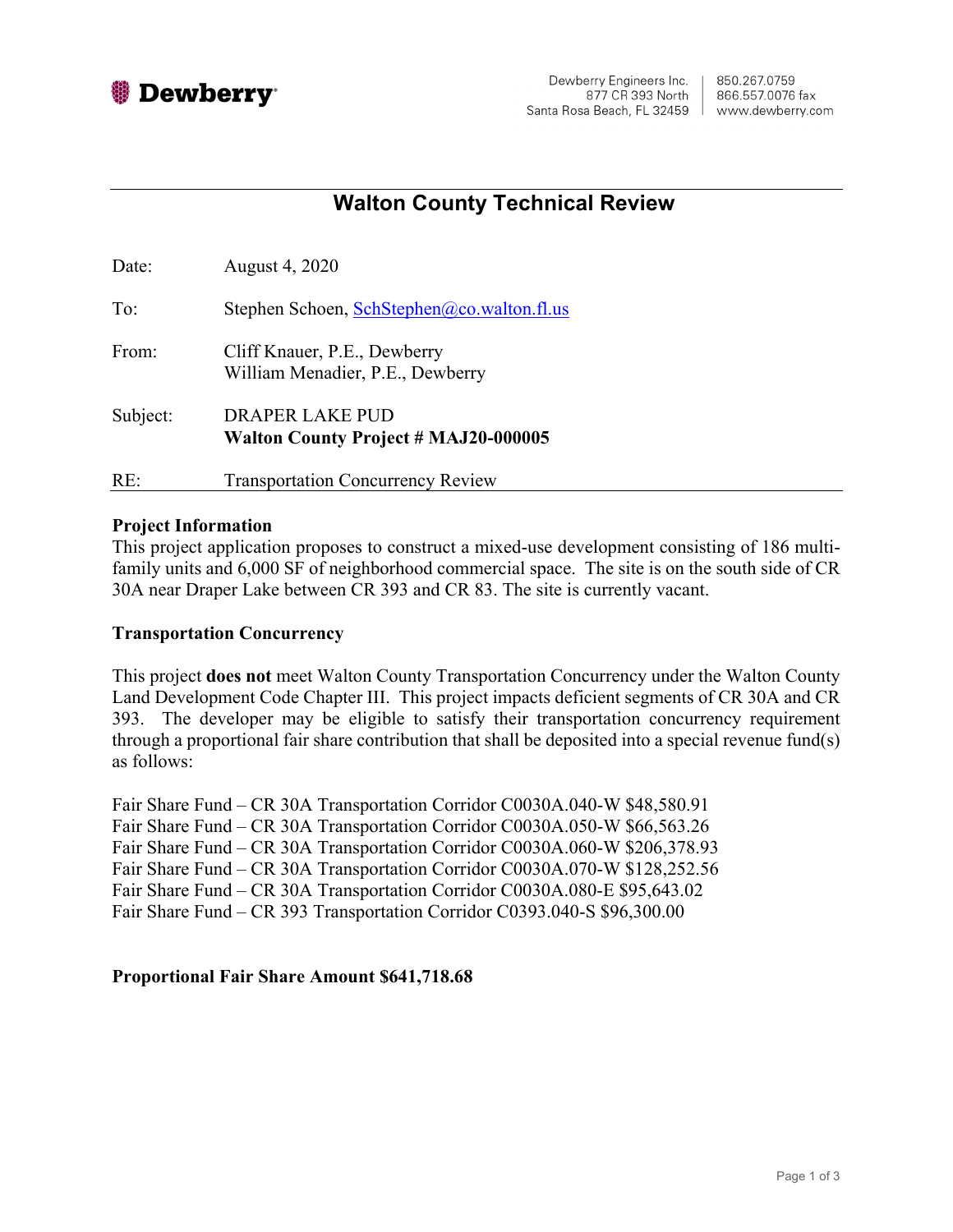

# **Walton County Technical Review**

| Date:    | August 4, 2020                                                        |
|----------|-----------------------------------------------------------------------|
| To:      | Stephen Schoen, SchStephen@co.walton.fl.us                            |
| From:    | Cliff Knauer, P.E., Dewberry<br>William Menadier, P.E., Dewberry      |
| Subject: | <b>DRAPER LAKE PUD</b><br><b>Walton County Project # MAJ20-000005</b> |
| RE:      | <b>Transportation Concurrency Review</b>                              |

### **Project Information**

This project application proposes to construct a mixed-use development consisting of 186 multifamily units and 6,000 SF of neighborhood commercial space. The site is on the south side of CR 30A near Draper Lake between CR 393 and CR 83. The site is currently vacant.

## **Transportation Concurrency**

This project **does not** meet Walton County Transportation Concurrency under the Walton County Land Development Code Chapter III. This project impacts deficient segments of CR 30A and CR 393. The developer may be eligible to satisfy their transportation concurrency requirement through a proportional fair share contribution that shall be deposited into a special revenue fund(s) as follows:

Fair Share Fund – CR 30A Transportation Corridor C0030A.040-W \$48,580.91 Fair Share Fund – CR 30A Transportation Corridor C0030A.050-W \$66,563.26 Fair Share Fund – CR 30A Transportation Corridor C0030A.060-W \$206,378.93 Fair Share Fund – CR 30A Transportation Corridor C0030A.070-W \$128,252.56 Fair Share Fund – CR 30A Transportation Corridor C0030A.080-E \$95,643.02 Fair Share Fund – CR 393 Transportation Corridor C0393.040-S \$96,300.00

## **Proportional Fair Share Amount \$641,718.68**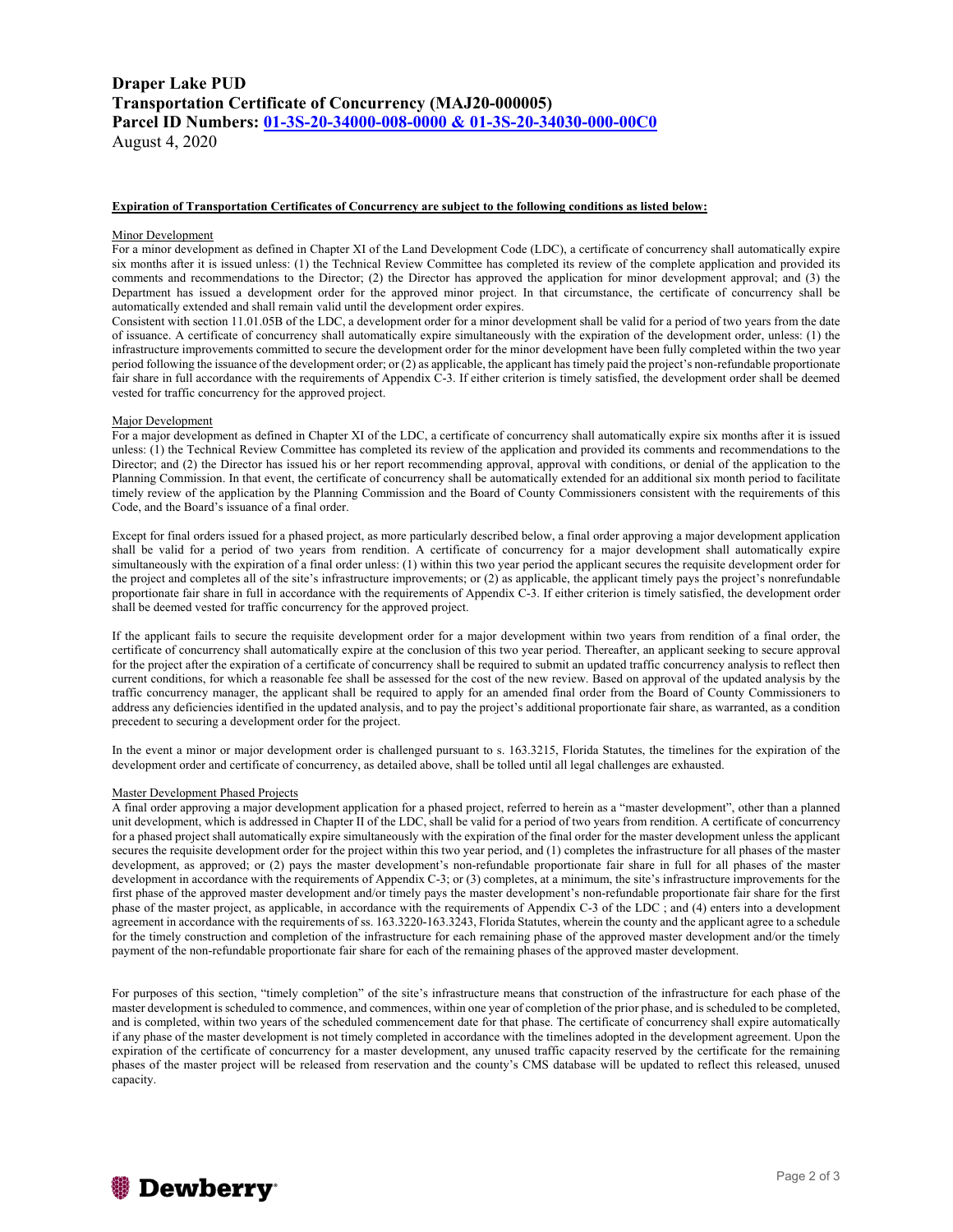### **Draper Lake PUD Transportation Certificate of Concurrency (MAJ20-000005) Parcel ID Numbers: 01-3S-20-34000-008-0000 & 01-3S-20-34030-000-00C0** August 4, 2020

#### **Expiration of Transportation Certificates of Concurrency are subject to the following conditions as listed below:**

#### Minor Development

For a minor development as defined in Chapter XI of the Land Development Code (LDC), a certificate of concurrency shall automatically expire six months after it is issued unless: (1) the Technical Review Committee has completed its review of the complete application and provided its comments and recommendations to the Director; (2) the Director has approved the application for minor development approval; and (3) the Department has issued a development order for the approved minor project. In that circumstance, the certificate of concurrency shall be automatically extended and shall remain valid until the development order expires.

Consistent with section 11.01.05B of the LDC, a development order for a minor development shall be valid for a period of two years from the date of issuance. A certificate of concurrency shall automatically expire simultaneously with the expiration of the development order, unless: (1) the infrastructure improvements committed to secure the development order for the minor development have been fully completed within the two year period following the issuance of the development order; or (2) as applicable, the applicant has timely paid the project's non-refundable proportionate fair share in full accordance with the requirements of Appendix C-3. If either criterion is timely satisfied, the development order shall be deemed vested for traffic concurrency for the approved project.

#### Major Development

For a major development as defined in Chapter XI of the LDC, a certificate of concurrency shall automatically expire six months after it is issued unless: (1) the Technical Review Committee has completed its review of the application and provided its comments and recommendations to the Director; and (2) the Director has issued his or her report recommending approval, approval with conditions, or denial of the application to the Planning Commission. In that event, the certificate of concurrency shall be automatically extended for an additional six month period to facilitate timely review of the application by the Planning Commission and the Board of County Commissioners consistent with the requirements of this Code, and the Board's issuance of a final order.

Except for final orders issued for a phased project, as more particularly described below, a final order approving a major development application shall be valid for a period of two years from rendition. A certificate of concurrency for a major development shall automatically expire simultaneously with the expiration of a final order unless: (1) within this two year period the applicant secures the requisite development order for the project and completes all of the site's infrastructure improvements; or (2) as applicable, the applicant timely pays the project's nonrefundable proportionate fair share in full in accordance with the requirements of Appendix C-3. If either criterion is timely satisfied, the development order shall be deemed vested for traffic concurrency for the approved project.

If the applicant fails to secure the requisite development order for a major development within two years from rendition of a final order, the certificate of concurrency shall automatically expire at the conclusion of this two year period. Thereafter, an applicant seeking to secure approval for the project after the expiration of a certificate of concurrency shall be required to submit an updated traffic concurrency analysis to reflect then current conditions, for which a reasonable fee shall be assessed for the cost of the new review. Based on approval of the updated analysis by the traffic concurrency manager, the applicant shall be required to apply for an amended final order from the Board of County Commissioners to address any deficiencies identified in the updated analysis, and to pay the project's additional proportionate fair share, as warranted, as a condition precedent to securing a development order for the project.

In the event a minor or major development order is challenged pursuant to s. 163.3215, Florida Statutes, the timelines for the expiration of the development order and certificate of concurrency, as detailed above, shall be tolled until all legal challenges are exhausted.

#### Master Development Phased Projects

A final order approving a major development application for a phased project, referred to herein as a "master development", other than a planned unit development, which is addressed in Chapter II of the LDC, shall be valid for a period of two years from rendition. A certificate of concurrency for a phased project shall automatically expire simultaneously with the expiration of the final order for the master development unless the applicant secures the requisite development order for the project within this two year period, and (1) completes the infrastructure for all phases of the master development, as approved; or (2) pays the master development's non-refundable proportionate fair share in full for all phases of the master development in accordance with the requirements of Appendix C-3; or (3) completes, at a minimum, the site's infrastructure improvements for the first phase of the approved master development and/or timely pays the master development's non-refundable proportionate fair share for the first phase of the master project, as applicable, in accordance with the requirements of Appendix C-3 of the LDC ; and (4) enters into a development agreement in accordance with the requirements of ss. 163.3220-163.3243, Florida Statutes, wherein the county and the applicant agree to a schedule for the timely construction and completion of the infrastructure for each remaining phase of the approved master development and/or the timely payment of the non-refundable proportionate fair share for each of the remaining phases of the approved master development.

For purposes of this section, "timely completion" of the site's infrastructure means that construction of the infrastructure for each phase of the master development is scheduled to commence, and commences, within one year of completion of the prior phase, and is scheduled to be completed, and is completed, within two years of the scheduled commencement date for that phase. The certificate of concurrency shall expire automatically if any phase of the master development is not timely completed in accordance with the timelines adopted in the development agreement. Upon the expiration of the certificate of concurrency for a master development, any unused traffic capacity reserved by the certificate for the remaining phases of the master project will be released from reservation and the county's CMS database will be updated to reflect this released, unused capacity.

# **鬱 Dewberry**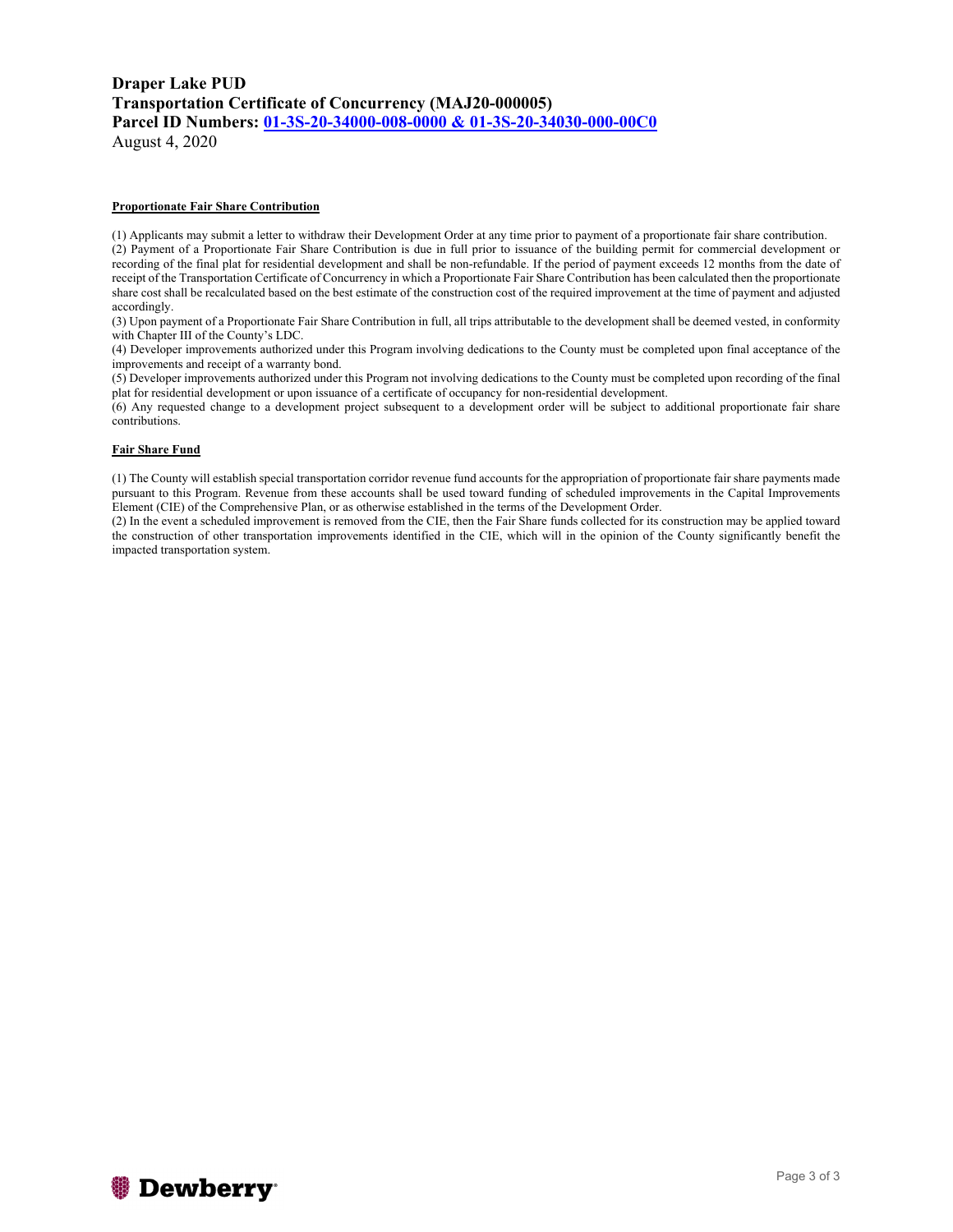# **Draper Lake PUD Transportation Certificate of Concurrency (MAJ20-000005) Parcel ID Numbers: 01-3S-20-34000-008-0000 & 01-3S-20-34030-000-00C0**

August 4, 2020

#### **Proportionate Fair Share Contribution**

(1) Applicants may submit a letter to withdraw their Development Order at any time prior to payment of a proportionate fair share contribution.

(2) Payment of a Proportionate Fair Share Contribution is due in full prior to issuance of the building permit for commercial development or recording of the final plat for residential development and shall be non-refundable. If the period of payment exceeds 12 months from the date of receipt of the Transportation Certificate of Concurrency in which a Proportionate Fair Share Contribution has been calculated then the proportionate share cost shall be recalculated based on the best estimate of the construction cost of the required improvement at the time of payment and adjusted accordingly.

(3) Upon payment of a Proportionate Fair Share Contribution in full, all trips attributable to the development shall be deemed vested, in conformity with Chapter III of the County's LDC.

(4) Developer improvements authorized under this Program involving dedications to the County must be completed upon final acceptance of the improvements and receipt of a warranty bond.

(5) Developer improvements authorized under this Program not involving dedications to the County must be completed upon recording of the final plat for residential development or upon issuance of a certificate of occupancy for non-residential development.

(6) Any requested change to a development project subsequent to a development order will be subject to additional proportionate fair share contributions.

#### **Fair Share Fund**

(1) The County will establish special transportation corridor revenue fund accounts for the appropriation of proportionate fair share payments made pursuant to this Program. Revenue from these accounts shall be used toward funding of scheduled improvements in the Capital Improvements Element (CIE) of the Comprehensive Plan, or as otherwise established in the terms of the Development Order.

(2) In the event a scheduled improvement is removed from the CIE, then the Fair Share funds collected for its construction may be applied toward the construction of other transportation improvements identified in the CIE, which will in the opinion of the County significantly benefit the impacted transportation system.

# *S* Dewberry